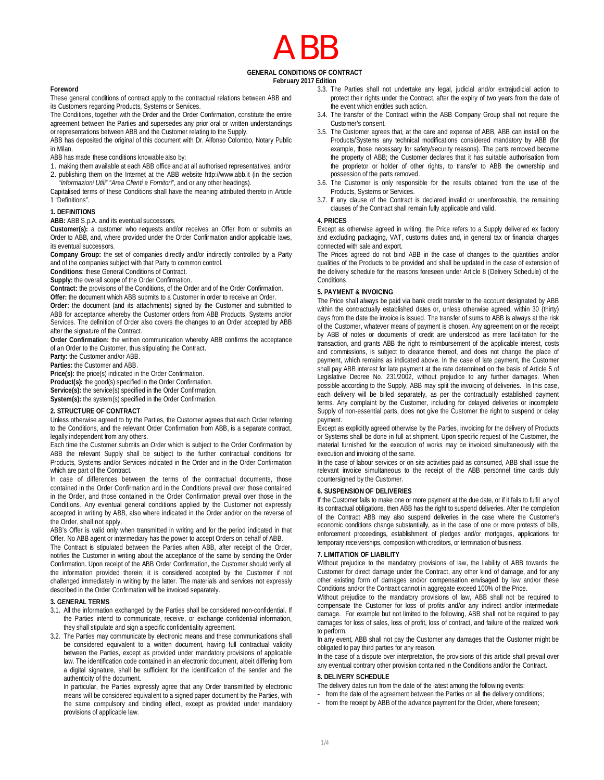# ABB

# **GENERAL CONDITIONS OF CONTRACT**

**February 2017 Edition**

#### **Foreword**

These general conditions of contract apply to the contractual relations between ABB and its Customers regarding Products, Systems or Services.

The Conditions, together with the Order and the Order Confirmation, constitute the entire agreement between the Parties and supersedes any prior oral or written understandings or representations between ABB and the Customer relating to the Supply.

ABB has deposited the original of this document with Dr. Alfonso Colombo, Notary Public in Milan.

ABB has made these conditions knowable also by:

1. making them available at each ABB office and at all authorised representatives; and/or 2. publishing them on the Internet at the ABB website http://www.abb.it (in the section

"*Informazioni Utili*" "*Area Clienti e Fornitori*", and or any other headings).

Capitalised terms of these Conditions shall have the meaning attributed thereto in Article 1 "Definitions".

# **1. DEFINITIONS**

**ABB:** ABB S.p.A. and its eventual successors.

**Customer(s):** a customer who requests and/or receives an Offer from or submits an Order to ABB, and, where provided under the Order Confirmation and/or applicable laws, its eventual successors.

**Company Group:** the set of companies directly and/or indirectly controlled by a Party and of the companies subject with that Party to common control.

**Conditions**: these General Conditions of Contract.

**Supply:** the overall scope of the Order Confirmation.

**Contract:** the provisions of the Conditions, of the Order and of the Order Confirmation.

**Offer:** the document which ABB submits to a Customer in order to receive an Order.

**Order:** the document (and its attachments) signed by the Customer and submitted to ABB for acceptance whereby the Customer orders from ABB Products, Systems and/or Services. The definition of Order also covers the changes to an Order accepted by ABB after the signature of the Contract.

**Order Confirmation:** the written communication whereby ABB confirms the acceptance of an Order to the Customer, thus stipulating the Contract.

**Party:** the Customer and/or ABB.

**Parties:** the Customer and ABB.

**Price(s):** the price(s) indicated in the Order Confirmation.

**Product(s):** the good(s) specified in the Order Confirmation.

**Service(s):** the service(s) specified in the Order Confirmation. **System(s):** the system(s) specified in the Order Confirmation.

#### **2. STRUCTURE OF CONTRACT**

Unless otherwise agreed to by the Parties, the Customer agrees that each Order referring to the Conditions, and the relevant Order Confirmation from ABB, is a separate contract, legally independent from any others.

Each time the Customer submits an Order which is subject to the Order Confirmation by ABB the relevant Supply shall be subject to the further contractual conditions for Products, Systems and/or Services indicated in the Order and in the Order Confirmation which are part of the Contract.

In case of differences between the terms of the contractual documents, those contained in the Order Confirmation and in the Conditions prevail over those contained in the Order, and those contained in the Order Confirmation prevail over those in the Conditions. Any eventual general conditions applied by the Customer not expressly accepted in writing by ABB, also where indicated in the Order and/or on the reverse of the Order, shall not apply.

ABB's Offer is valid only when transmitted in writing and for the period indicated in that Offer. No ABB agent or intermediary has the power to accept Orders on behalf of ABB.

The Contract is stipulated between the Parties when ABB, after receipt of the Order, notifies the Customer in writing about the acceptance of the same by sending the Order Confirmation. Upon receipt of the ABB Order Confirmation, the Customer should verify all the information provided therein; it is considered accepted by the Customer if not challenged immediately in writing by the latter. The materials and services not expressly described in the Order Confirmation will be invoiced separately.

#### **3. GENERAL TERMS**

- 3.1. All the information exchanged by the Parties shall be considered non-confidential. If the Parties intend to communicate, receive, or exchange confidential information, they shall stipulate and sign a specific confidentiality agreement.
- 3.2. The Parties may communicate by electronic means and these communications shall be considered equivalent to a written document, having full contractual validity between the Parties, except as provided under mandatory provisions of applicable law. The identification code contained in an electronic document, albeit differing from a digital signature, shall be sufficient for the identification of the sender and the authenticity of the document.

In particular, the Parties expressly agree that any Order transmitted by electronic means will be considered equivalent to a signed paper document by the Parties, with the same compulsory and binding effect, except as provided under mandatory provisions of applicable law.

- 3.3. The Parties shall not undertake any legal, judicial and/or extrajudicial action to protect their rights under the Contract, after the expiry of two years from the date of the event which entitles such action.
- 3.4. The transfer of the Contract within the ABB Company Group shall not require the Customer's consent.
- 3.5. The Customer agrees that, at the care and expense of ABB, ABB can install on the Products/Systems any technical modifications considered mandatory by ABB (for example, those necessary for safety/security reasons). The parts removed become the property of ABB; the Customer declares that it has suitable authorisation from the proprietor or holder of other rights, to transfer to ABB the ownership and possession of the parts removed.
- 3.6. The Customer is only responsible for the results obtained from the use of the Products, Systems or Services.
- 3.7. If any clause of the Contract is declared invalid or unenforceable, the remaining clauses of the Contract shall remain fully applicable and valid.

#### **4. PRICES**

Except as otherwise agreed in writing, the Price refers to a Supply delivered ex factory and excluding packaging, VAT, customs duties and, in general tax or financial charges connected with sale and export.

The Prices agreed do not bind ABB in the case of changes to the quantities and/or qualities of the Products to be provided and shall be updated in the case of extension of the delivery schedule for the reasons foreseen under Article 8 (Delivery Schedule) of the **Conditions** 

#### **5. PAYMENT & INVOICING**

The Price shall always be paid via bank credit transfer to the account designated by ABB within the contractually established dates or, unless otherwise agreed, within 30 (thirty) days from the date the invoice is issued. The transfer of sums to ABB is always at the risk of the Customer, whatever means of payment is chosen. Any agreement on or the receipt by ABB of notes or documents of credit are understood as mere facilitation for the transaction, and grants ABB the right to reimbursement of the applicable interest, costs and commissions, is subject to clearance thereof, and does not change the place of payment, which remains as indicated above. In the case of late payment, the Customer shall pay ABB interest for late payment at the rate determined on the basis of Article 5 of Legislative Decree No. 231/2002, without prejudice to any further damages. When possible according to the Supply, ABB may split the invoicing of deliveries. In this case, each delivery will be billed separately, as per the contractually established payment terms. Any complaint by the Customer, including for delayed deliveries or incomplete Supply of non-essential parts, does not give the Customer the right to suspend or delay payment.

Except as explicitly agreed otherwise by the Parties, invoicing for the delivery of Products or Systems shall be done in full at shipment. Upon specific request of the Customer, the material furnished for the execution of works may be invoiced simultaneously with the execution and invoicing of the same.

In the case of labour services or on site activities paid as consumed, ABB shall issue the relevant invoice simultaneous to the receipt of the ABB personnel time cards duly countersigned by the Customer.

#### **6. SUSPENSION OF DELIVERIES**

If the Customer fails to make one or more payment at the due date, or if it fails to fulfil any of its contractual obligations, then ABB has the right to suspend deliveries. After the completion of the Contract ABB may also suspend deliveries in the case where the Customer's economic conditions change substantially, as in the case of one or more protests of bills, enforcement proceedings, establishment of pledges and/or mortgages, applications for temporary receiverships, composition with creditors, or termination of business.

#### **7. LIMITATION OF LIABILITY**

Without prejudice to the mandatory provisions of law, the liability of ABB towards the Customer for direct damage under the Contract, any other kind of damage, and for any other existing form of damages and/or compensation envisaged by law and/or these Conditions and/or the Contract cannot in aggregate exceed 100% of the Price.

Without prejudice to the mandatory provisions of law, ABB shall not be required to compensate the Customer for loss of profits and/or any indirect and/or intermediate damage. For example but not limited to the following, ABB shall not be required to pay damages for loss of sales, loss of profit, loss of contract, and failure of the realized work to perform.

In any event, ABB shall not pay the Customer any damages that the Customer might be obligated to pay third parties for any reason.

In the case of a dispute over interpretation, the provisions of this article shall prevail over any eventual contrary other provision contained in the Conditions and/or the Contract.

# **8. DELIVERY SCHEDULE**

The delivery dates run from the date of the latest among the following events:

- from the date of the agreement between the Parties on all the delivery conditions;
- from the receipt by ABB of the advance payment for the Order, where foreseen;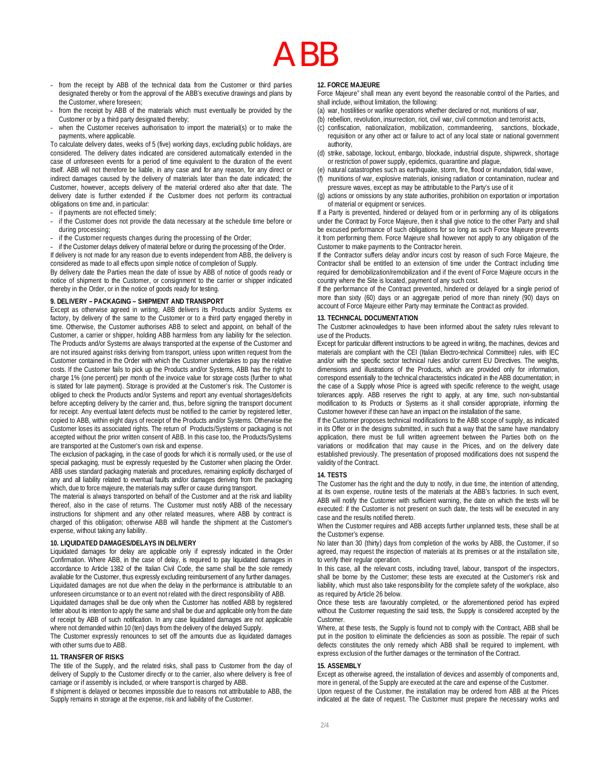# ABB

- from the receipt by ABB of the technical data from the Customer or third parties designated thereby or from the approval of the ABB's executive drawings and plans by the Customer, where foreseen;
- from the receipt by ABB of the materials which must eventually be provided by the Customer or by a third party designated thereby;
- when the Customer receives authorisation to import the material(s) or to make the payments, where applicable.

To calculate delivery dates, weeks of 5 (five) working days, excluding public holidays, are considered. The delivery dates indicated are considered automatically extended in the case of unforeseen events for a period of time equivalent to the duration of the event itself. ABB will not therefore be liable, in any case and for any reason, for any direct or indirect damages caused by the delivery of materials later than the date indicated; the Customer, however, accepts delivery of the material ordered also after that date. The delivery date is further extended if the Customer does not perform its contractual obligations on time and, in particular:

- if payments are not effected timely;
- if the Customer does not provide the data necessary at the schedule time before or during processing:
- if the Customer requests changes during the processing of the Order;

if the Customer delays delivery of material before or during the processing of the Order. If delivery is not made for any reason due to events independent from ABB, the delivery is

considered as made to all effects upon simple notice of completion of Supply.

By delivery date the Parties mean the date of issue by ABB of notice of goods ready or notice of shipment to the Customer, or consignment to the carrier or shipper indicated thereby in the Order, or in the notice of goods ready for testing.

#### **9. DELIVERY – PACKAGING – SHIPMENT AND TRANSPORT**

Except as otherwise agreed in writing, ABB delivers its Products and/or Systems ex factory, by delivery of the same to the Customer or to a third party engaged thereby in time. Otherwise, the Customer authorises ABB to select and appoint, on behalf of the Customer, a carrier or shipper, holding ABB harmless from any liability for the selection. The Products and/or Systems are always transported at the expense of the Customer and are not insured against risks deriving from transport, unless upon written request from the Customer contained in the Order with which the Customer undertakes to pay the relative costs. If the Customer fails to pick up the Products and/or Systems, ABB has the right to charge 1% (one percent) per month of the invoice value for storage costs (further to what is stated for late payment). Storage is provided at the Customer's risk. The Customer is obliged to check the Products and/or Systems and report any eventual shortages/deficits before accepting delivery by the carrier and, thus, before signing the transport document for receipt. Any eventual latent defects must be notified to the carrier by registered letter, copied to ABB, within eight days of receipt of the Products and/or Systems. Otherwise the Customer loses its associated rights. The return of Products/Systems or packaging is not accepted without the prior written consent of ABB. In this case too, the Products/Systems are transported at the Customer's own risk and expense.

The exclusion of packaging, in the case of goods for which it is normally used, or the use of special packaging, must be expressly requested by the Customer when placing the Order. ABB uses standard packaging materials and procedures, remaining explicitly discharged of any and all liability related to eventual faults and/or damages deriving from the packaging which, due to force majeure, the materials may suffer or cause during transport.

The material is always transported on behalf of the Customer and at the risk and liability thereof, also in the case of returns. The Customer must notify ABB of the necessary instructions for shipment and any other related measures, where ABB by contract is charged of this obligation; otherwise ABB will handle the shipment at the Customer's expense, without taking any liability.

#### **10. LIQUIDATED DAMAGES/DELAYS IN DELIVERY**

Liquidated damages for delay are applicable only if expressly indicated in the Order Confirmation. Where ABB, in the case of delay, is required to pay liquidated damages in accordance to Article 1382 of the Italian Civil Code, the same shall be the sole remedy available for the Customer, thus expressly excluding reimbursement of any further damages. Liquidated damages are not due when the delay in the performance is attributable to an unforeseen circumstance or to an event not related with the direct responsibility of ABB.

Liquidated damages shall be due only when the Customer has notified ABB by registered letter about its intention to apply the same and shall be due and applicable only from the date of receipt by ABB of such notification. In any case liquidated damages are not applicable where not demanded within 10 (ten) days from the delivery of the delayed Supply.

The Customer expressly renounces to set off the amounts due as liquidated damages with other sums due to ABB.

#### **11. TRANSFER OF RISKS**

The title of the Supply, and the related risks, shall pass to Customer from the day of delivery of Supply to the Customer directly or to the carrier, also where delivery is free of carriage or if assembly is included, or where transport is charged by ABB.

If shipment is delayed or becomes impossible due to reasons not attributable to ABB, the Supply remains in storage at the expense, risk and liability of the Customer.

#### **12. FORCE MAJEURE**

Force Majeure" shall mean any event beyond the reasonable control of the Parties, and shall include, without limitation, the following:

- (a) war, hostilities or warlike operations whether declared or not, munitions of war,
- (b) rebellion, revolution, insurrection, riot, civil war, civil commotion and terrorist acts,
- (c) confiscation, nationalization, mobilization, commandeering, sanctions, blockade, requisition or any other act or failure to act of any local state or national government authority,
- (d) strike, sabotage, lockout, embargo, blockade, industrial dispute, shipwreck, shortage or restriction of power supply, epidemics, quarantine and plague,
- (e) natural catastrophes such as earthquake, storm, fire, flood or inundation, tidal wave,
- (f) munitions of war, explosive materials, ionising radiation or contamination, nuclear and pressure waves, except as may be attributable to the Party's use of it
- (g) actions or omissions by any state authorities, prohibition on exportation or importation of material or equipment or services.

If a Party is prevented, hindered or delayed from or in performing any of its obligations under the Contract by Force Majeure, then it shall give notice to the other Party and shall be excused performance of such obligations for so long as such Force Majeure prevents it from performing them. Force Majeure shall however not apply to any obligation of the Customer to make payments to the Contractor herein.

If the Contractor suffers delay and/or incurs cost by reason of such Force Majeure, the Contractor shall be entitled to an extension of time under the Contract including time required for demobilization/remobilization and if the event of Force Majeure occurs in the country where the Site is located, payment of any such cost.

If the performance of the Contract prevented, hindered or delayed for a single period of more than sixty (60) days or an aggregate period of more than ninety (90) days on account of Force Majeure either Party may terminate the Contract as provided.

### **13. TECHNICAL DOCUMENTATION**

The Customer acknowledges to have been informed about the safety rules relevant to use of the Products.

Except for particular different instructions to be agreed in writing, the machines, devices and materials are compliant with the CEI (Italian Electro-technical Committee) rules, with IEC and/or with the specific sector technical rules and/or current EU Directives. The weights, dimensions and illustrations of the Products, which are provided only for information, correspond essentially to the technical characteristics indicated in the ABB documentation; in the case of a Supply whose Price is agreed with specific reference to the weight, usage tolerances apply. ABB reserves the right to apply, at any time, such non-substantial modification to its Products or Systems as it shall consider appropriate, informing the Customer however if these can have an impact on the installation of the same.

If the Customer proposes technical modifications to the ABB scope of supply, as indicated in its Offer or in the designs submitted, in such that a way that the same have mandatory application, there must be full written agreement between the Parties both on the variations or modification that may cause in the Prices, and on the delivery date established previously. The presentation of proposed modifications does not suspend the validity of the Contract.

#### **14. TESTS**

The Customer has the right and the duty to notify, in due time, the intention of attending, at its own expense, routine tests of the materials at the ABB's factories. In such event, ABB will notify the Customer with sufficient warning, the date on which the tests will be executed: if the Customer is not present on such date, the tests will be executed in any case and the results notified thereto.

When the Customer requires and ABB accepts further unplanned tests, these shall be at the Customer's expense.

No later than 30 (thirty) days from completion of the works by ABB, the Customer, if so agreed, may request the inspection of materials at its premises or at the installation site, to verify their regular operation.

In this case, all the relevant costs, including travel, labour, transport of the inspectors, shall be borne by the Customer; these tests are executed at the Customer's risk and liability, which must also take responsibility for the complete safety of the workplace, also as required by Article 26 below.

Once these tests are favourably completed, or the aforementioned period has expired without the Customer requesting the said tests, the Supply is considered accepted by the **Customer** 

Where, at these tests, the Supply is found not to comply with the Contract, ABB shall be put in the position to eliminate the deficiencies as soon as possible. The repair of such defects constitutes the only remedy which ABB shall be required to implement, with express exclusion of the further damages or the termination of the Contract.

#### **15. ASSEMBLY**

Except as otherwise agreed, the installation of devices and assembly of components and, more in general, of the Supply are executed at the care and expense of the Customer. Upon request of the Customer, the installation may be ordered from ABB at the Prices indicated at the date of request. The Customer must prepare the necessary works and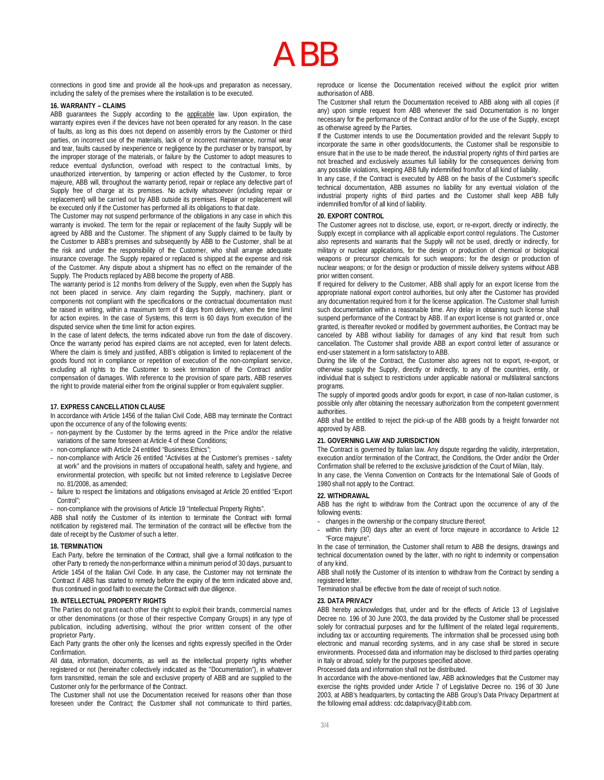connections in good time and provide all the hook-ups and preparation as necessary, including the safety of the premises where the installation is to be executed.

# **16. WARRANTY – CLAIMS**

ABB guarantees the Supply according to the applicable law. Upon expiration, the warranty expires even if the devices have not been operated for any reason. In the case of faults, as long as this does not depend on assembly errors by the Customer or third parties, on incorrect use of the materials, lack of or incorrect maintenance, normal wear and tear, faults caused by inexperience or negligence by the purchaser or by transport, by the improper storage of the materials, or failure by the Customer to adopt measures to reduce eventual dysfunction, overload with respect to the contractual limits, by unauthorized intervention, by tampering or action effected by the Customer, to force majeure, ABB will, throughout the warranty period, repair or replace any defective part of Supply free of charge at its premises. No activity whatsoever (including repair or replacement) will be carried out by ABB outside its premises. Repair or replacement will be executed only if the Customer has performed all its obligations to that date.

The Customer may not suspend performance of the obligations in any case in which this warranty is invoked. The term for the repair or replacement of the faulty Supply will be agreed by ABB and the Customer. The shipment of any Supply claimed to be faulty by the Customer to ABB's premises and subsequently by ABB to the Customer, shall be at the risk and under the responsibility of the Customer, who shall arrange adequate insurance coverage. The Supply repaired or replaced is shipped at the expense and risk of the Customer. Any dispute about a shipment has no effect on the remainder of the Supply. The Products replaced by ABB become the property of ABB.

The warranty period is 12 months from delivery of the Supply, even when the Supply has not been placed in service. Any claim regarding the Supply, machinery, plant or components not compliant with the specifications or the contractual documentation must be raised in writing, within a maximum term of 8 days from delivery, when the time limit for action expires. In the case of Systems, this term is 60 days from execution of the disputed service when the time limit for action expires.

In the case of latent defects, the terms indicated above run from the date of discovery. Once the warranty period has expired claims are not accepted, even for latent defects. Where the claim is timely and justified, ABB's obligation is limited to replacement of the goods found not in compliance or repetition of execution of the non-compliant service, excluding all rights to the Customer to seek termination of the Contract and/or compensation of damages. With reference to the provision of spare parts, ABB reserves the right to provide material either from the original supplier or from equivalent supplier.

#### **17. EXPRESS CANCELLATION CLAUSE**

In accordance with Article 1456 of the Italian Civil Code, ABB may terminate the Contract upon the occurrence of any of the following events:

- non-payment by the Customer by the terms agreed in the Price and/or the relative variations of the same foreseen at Article 4 of these Conditions;
- non-compliance with Article 24 entitled "Business Ethics";
- non-compliance with Article 26 entitled "Activities at the Customer's premises safety at work" and the provisions in matters of occupational health, safety and hygiene, and environmental protection, with specific but not limited reference to Legislative Decree no. 81/2008, as amended;
- failure to respect the limitations and obligations envisaged at Article 20 entitled "Export Control";

non-compliance with the provisions of Article 19 "Intellectual Property Rights".

ABB shall notify the Customer of its intention to terminate the Contract with formal notification by registered mail. The termination of the contract will be effective from the date of receipt by the Customer of such a letter.

### **18. TERMINATION**

Each Party, before the termination of the Contract, shall give a formal notification to the other Party to remedy the non-performance within a minimum period of 30 days, pursuant to Article 1454 of the Italian Civil Code. In any case, the Customer may not terminate the Contract if ABB has started to remedy before the expiry of the term indicated above and, thus continued in good faith to execute the Contract with due diligence.

#### **19. INTELLECTUAL PROPERTY RIGHTS**

The Parties do not grant each other the right to exploit their brands, commercial names or other denominations (or those of their respective Company Groups) in any type of publication, including advertising, without the prior written consent of the other proprietor Party.

Each Party grants the other only the licenses and rights expressly specified in the Order Confirmation.

All data, information, documents, as well as the intellectual property rights whether registered or not (hereinafter collectively indicated as the "Documentation"), in whatever form transmitted, remain the sole and exclusive property of ABB and are supplied to the Customer only for the performance of the Contract.

The Customer shall not use the Documentation received for reasons other than those foreseen under the Contract; the Customer shall not communicate to third parties, reproduce or license the Documentation received without the explicit prior written authorisation of ABB.

The Customer shall return the Documentation received to ABB along with all copies (if any) upon simple request from ABB whenever the said Documentation is no longer necessary for the performance of the Contract and/or of for the use of the Supply, except as otherwise agreed by the Parties.

If the Customer intends to use the Documentation provided and the relevant Supply to incorporate the same in other goods/documents, the Customer shall be responsible to ensure that in the use to be made thereof, the industrial property rights of third parties are not breached and exclusively assumes full liability for the consequences deriving from any possible violations, keeping ABB fully indemnified from/for of all kind of liability.

In any case, if the Contract is executed by ABB on the basis of the Customer's specific technical documentation, ABB assumes no liability for any eventual violation of the industrial property rights of third parties and the Customer shall keep ABB fully indemnified from/for of all kind of liability.

#### **20. EXPORT CONTROL**

The Customer agrees not to disclose, use, export, or re-export, directly or indirectly, the Supply except in compliance with all applicable export control regulations. The Customer also represents and warrants that the Supply will not be used, directly or indirectly, for military or nuclear applications, for the design or production of chemical or biological weapons or precursor chemicals for such weapons; for the design or production of nuclear weapons; or for the design or production of missile delivery systems without ABB prior written consent.

If required for delivery to the Customer, ABB shall apply for an export license from the appropriate national export control authorities, but only after the Customer has provided any documentation required from it for the license application. The Customer shall furnish such documentation within a reasonable time. Any delay in obtaining such license shall suspend performance of the Contract by ABB. If an export license is not granted or, once granted, is thereafter revoked or modified by government authorities, the Contract may be canceled by ABB without liability for damages of any kind that result from such cancellation. The Customer shall provide ABB an export control letter of assurance or end-user statement in a form satisfactory to ABB.

During the life of the Contract, the Customer also agrees not to export, re-export, or otherwise supply the Supply, directly or indirectly, to any of the countries, entity, or individual that is subject to restrictions under applicable national or multilateral sanctions programs.

The supply of imported goods and/or goods for export, in case of non-Italian customer, is possible only after obtaining the necessary authorization from the competent government authorities.

ABB shall be entitled to reject the pick-up of the ABB goods by a freight forwarder not approved by ABB.

#### **21. GOVERNING LAW AND JURISDICTION**

The Contract is governed by Italian law. Any dispute regarding the validity, interpretation, execution and/or termination of the Contract, the Conditions, the Order and/or the Order Confirmation shall be referred to the exclusive jurisdiction of the Court of Milan, Italy. In any case, the Vienna Convention on Contracts for the International Sale of Goods of

1980 shall not apply to the Contract.

### **22. WITHDRAWAL**

ABB has the right to withdraw from the Contract upon the occurrence of any of the following events:

- changes in the ownership or the company structure thereof;
- within thirty (30) days after an event of force majeure in accordance to Article 12 "Force majeure".

In the case of termination, the Customer shall return to ABB the designs, drawings and technical documentation owned by the latter, with no right to indemnity or compensation of any kind.

ABB shall notify the Customer of its intention to withdraw from the Contract by sending a registered letter

Termination shall be effective from the date of receipt of such notice.

#### **23. DATA PRIVACY**

ABB hereby acknowledges that, under and for the effects of Article 13 of Legislative Decree no. 196 of 30 June 2003, the data provided by the Customer shall be processed solely for contractual purposes and for the fulfilment of the related legal requirements, including tax or accounting requirements. The information shall be processed using both electronic and manual recording systems, and in any case shall be stored in secure environments. Processed data and information may be disclosed to third parties operating in Italy or abroad, solely for the purposes specified above.

Processed data and information shall not be distributed.

In accordance with the above-mentioned law, ABB acknowledges that the Customer may exercise the rights provided under Article 7 of Legislative Decree no. 196 of 30 June 2003, at ABB's headquarters, by contacting the ABB Group's Data Privacy Department at the following email address: cdc.dataprivacy@it.abb.com.